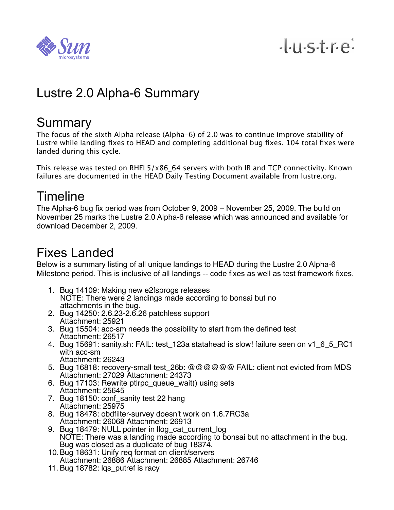

tustre

# Lustre 2.0 Alpha-6 Summary

#### **Summary**

The focus of the sixth Alpha release (Alpha-6) of 2.0 was to continue improve stability of Lustre while landing fixes to HEAD and completing additional bug fixes. 104 total fixes were landed during this cycle.

This release was tested on RHEL5/x86\_64 servers with both IB and TCP connectivity. Known failures are documented in the HEAD Daily Testing Document available from lustre.org.

## Timeline

The Alpha-6 bug fix period was from October 9, 2009 – November 25, 2009. The build on November 25 marks the Lustre 2.0 Alpha-6 release which was announced and available for download December 2, 2009.

# Fixes Landed

Below is a summary listing of all unique landings to HEAD during the Lustre 2.0 Alpha-6 Milestone period. This is inclusive of all landings -- code fixes as well as test framework fixes.

- 1. Bug 14109: Making new e2fsprogs releases NOTE: There were 2 landings made according to bonsai but no attachments in the bug.
- 2. Bug 14250: 2.6.23-2.6.26 patchless support Attachment: 25921
- 3. Bug 15504: acc-sm needs the possibility to start from the defined test Attachment: 26517
- 4. Bug 15691: sanity.sh: FAIL: test\_123a statahead is slow! failure seen on v1\_6\_5\_RC1 with acc-sm Attachment: 26243
- 5. Bug 16818: recovery-small test\_26b: @@@@@@ FAIL: client not evicted from MDS Attachment: 27029 Attachment: 24373
- 6. Bug 17103: Rewrite ptlrpc\_queue\_wait() using sets Attachment: 25645
- 7. Bug 18150: conf\_sanity test 22 hang Attachment: 25975
- 8. Bug 18478: obdfilter-survey doesn't work on 1.6.7RC3a Attachment: 26068 Attachment: 26913
- 9. Bug 18479: NULL pointer in llog\_cat\_current\_log NOTE: There was a landing made according to bonsai but no attachment in the bug. Bug was closed as a duplicate of bug 18374.
- 10.Bug 18631: Unify req format on client/servers Attachment: 26886 Attachment: 26885 Attachment: 26746
- 11. Bug 18782: lgs\_putref is racy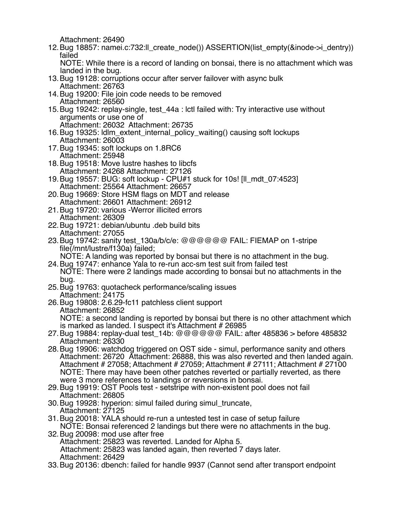Attachment: 26490

12.Bug 18857: namei.c:732:ll\_create\_node()) ASSERTION(list\_empty(&inode->i\_dentry)) failed

 NOTE: While there is a record of landing on bonsai, there is no attachment which was landed in the bug.

- 13.Bug 19128: corruptions occur after server failover with async bulk Attachment: 26763
- 14.Bug 19200: File join code needs to be removed Attachment: 26560
- 15.Bug 19242: replay-single, test\_44a : lctl failed with: Try interactive use without arguments or use one of

Attachment: 26032 Attachment: 26735

- 16.Bug 19325: ldlm\_extent\_internal\_policy\_waiting() causing soft lockups Attachment: 26003
- 17.Bug 19345: soft lockups on 1.8RC6 Attachment: 25948
- 18.Bug 19518: Move lustre hashes to libcfs Attachment: 24268 Attachment: 27126
- 19.Bug 19557: BUG: soft lockup CPU#1 stuck for 10s! [ll\_mdt\_07:4523] Attachment: 25564 Attachment: 26657
- 20.Bug 19669: Store HSM flags on MDT and release Attachment: 26601 Attachment: 26912
- 21.Bug 19720: various -Werror illicited errors Attachment: 26309
- 22.Bug 19721: debian/ubuntu .deb build bits Attachment: 27055
- 23.Bug 19742: sanity test\_130a/b/c/e: @@@@@@ FAIL: FIEMAP on 1-stripe file(/mnt/lustre/f130a) failed;

 NOTE: A landing was reported by bonsai but there is no attachment in the bug. 24.Bug 19747: enhance Yala to re-run acc-sm test suit from failed test

 NOTE: There were 2 landings made according to bonsai but no attachments in the bug.

- 25.Bug 19763: quotacheck performance/scaling issues Attachment: 24175
- 26.Bug 19808: 2.6.29-fc11 patchless client support Attachment: 26852 NOTE: a second landing is reported by bonsai but there is no other attachment which is marked as landed. I suspect it's Attachment # 26985
- 27.Bug 19884: replay-dual test\_14b: @@@@@@ FAIL: after 485836 > before 485832 Attachment: 26330
- 28.Bug 19906: watchdog triggered on OST side simul, performance sanity and others Attachment: 26720 Attachment: 26888, this was also reverted and then landed again. Attachment # 27058; Attachment # 27059; Attachment # 27111; Attachment # 27100 NOTE: There may have been other patches reverted or partially reverted, as there were 3 more references to landings or reversions in bonsai.
- 29.Bug 19919: OST Pools test setstripe with non-existent pool does not fail Attachment: 26805
- 30.Bug 19928: hyperion: simul failed during simul\_truncate, Attachment: 27125
- 31.Bug 20018: YALA should re-run a untested test in case of setup failure NOTE: Bonsai referenced 2 landings but there were no attachments in the bug.
- 32.Bug 20098: mod use after free Attachment: 25823 was reverted. Landed for Alpha 5. Attachment: 25823 was landed again, then reverted 7 days later. Attachment: 26429
- 33.Bug 20136: dbench: failed for handle 9937 (Cannot send after transport endpoint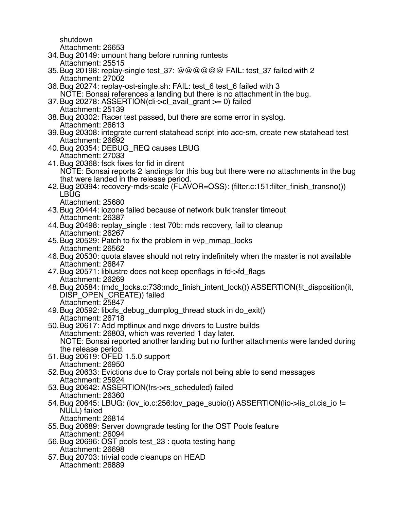shutdown

Attachment: 26653

- 34.Bug 20149: umount hang before running runtests Attachment: 25515
- 35.Bug 20198: replay-single test\_37: @@@@@@ FAIL: test\_37 failed with 2 Attachment: 27002
- 36.Bug 20274: replay-ost-single.sh: FAIL: test\_6 test\_6 failed with 3 NOTE: Bonsai references a landing but there is no attachment in the bug.
- 37.Bug 20278: ASSERTION(cli->cl\_avail\_grant >= 0) failed Attachment: 25139
- 38.Bug 20302: Racer test passed, but there are some error in syslog. Attachment: 26613
- 39.Bug 20308: integrate current statahead script into acc-sm, create new statahead test Attachment: 26692
- 40.Bug 20354: DEBUG\_REQ causes LBUG Attachment: 27033
- 41.Bug 20368: fsck fixes for fid in dirent NOTE: Bonsai reports 2 landings for this bug but there were no attachments in the bug that were landed in the release period.
- 42.Bug 20394: recovery-mds-scale (FLAVOR=OSS): (filter.c:151:filter\_finish\_transno()) LBUG
	- Attachment: 25680
- 43.Bug 20444: iozone failed because of network bulk transfer timeout Attachment: 26387
- 44.Bug 20498: replay\_single : test 70b: mds recovery, fail to cleanup Attachment: 26267
- 45.Bug 20529: Patch to fix the problem in vvp\_mmap\_locks Attachment: 26562
- 46.Bug 20530: quota slaves should not retry indefinitely when the master is not available Attachment: 26847
- 47.Bug 20571: liblustre does not keep openflags in fd->fd\_flags Attachment: 26269
- 48.Bug 20584: (mdc\_locks.c:738:mdc\_finish\_intent\_lock()) ASSERTION(!it\_disposition(it, DISP\_OPEN\_CREATE)) failed Attachment: 25847
- 49. Bug 20592: libcfs debug dumplog thread stuck in do exit() Attachment: 26718
- 50.Bug 20617: Add mptlinux and nxge drivers to Lustre builds Attachment: 26803, which was reverted 1 day later. NOTE: Bonsai reported another landing but no further attachments were landed during the release period.
- 51.Bug 20619: OFED 1.5.0 support Attachment: 26950
- 52.Bug 20633: Evictions due to Cray portals not being able to send messages Attachment: 25924
- 53.Bug 20642: ASSERTION(!rs->rs\_scheduled) failed Attachment: 26360
- 54.Bug 20645: LBUG: (lov\_io.c:256:lov\_page\_subio()) ASSERTION(lio->lis\_cl.cis\_io != NULL) failed
	- Attachment: 26814
- 55.Bug 20689: Server downgrade testing for the OST Pools feature Attachment: 26094
- 56.Bug 20696: OST pools test\_23 : quota testing hang Attachment: 26698
- 57.Bug 20703: trivial code cleanups on HEAD Attachment: 26889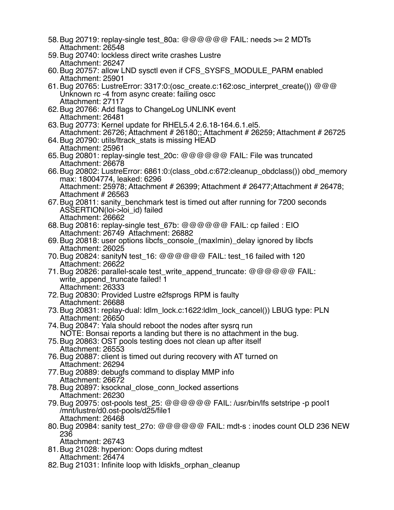58.Bug 20719: replay-single test\_80a: @@@@@@ FAIL: needs >= 2 MDTs Attachment: 26548 59.Bug 20740: lockless direct write crashes Lustre Attachment: 26247 60.Bug 20757: allow LND sysctl even if CFS\_SYSFS\_MODULE\_PARM enabled Attachment: 25901 61.Bug 20765: LustreError: 3317:0:(osc\_create.c:162:osc\_interpret\_create()) @@@ Unknown rc -4 from async create: failing oscc Attachment: 27117 62.Bug 20766: Add flags to ChangeLog UNLINK event Attachment: 26481 63.Bug 20773: Kernel update for RHEL5.4 2.6.18-164.6.1.el5. Attachment: 26726; Attachment # 26180;; Attachment # 26259; Attachment # 26725 64.Bug 20790: utils/ltrack\_stats is missing HEAD Attachment: 25961 65.Bug 20801: replay-single test\_20c: @@@@@@ FAIL: File was truncated Attachment: 26678 66.Bug 20802: LustreError: 6861:0:(class\_obd.c:672:cleanup\_obdclass()) obd\_memory max: 18004774, leaked: 6296 Attachment: 25978; Attachment # 26399; Attachment # 26477;Attachment # 26478; Attachment # 26563 67.Bug 20811: sanity\_benchmark test is timed out after running for 7200 seconds ASSERTION(loi->loi\_id) failed Attachment: 26662 68.Bug 20816: replay-single test\_67b: @@@@@@ FAIL: cp failed : EIO Attachment: 26749 Attachment: 26882 69.Bug 20818: user options libcfs\_console\_(max|min)\_delay ignored by libcfs Attachment: 26025 70.Bug 20824: sanityN test\_16: @@@@@@ FAIL: test\_16 failed with 120 Attachment: 26622 71.Bug 20826: parallel-scale test\_write\_append\_truncate: @@@@@@ FAIL: write append truncate failed! 1 Attachment: 26333 72.Bug 20830: Provided Lustre e2fsprogs RPM is faulty Attachment: 26688 73.Bug 20831: replay-dual: ldlm\_lock.c:1622:ldlm\_lock\_cancel()) LBUG type: PLN Attachment: 26650 74.Bug 20847: Yala should reboot the nodes after sysrq run NOTE: Bonsai reports a landing but there is no attachment in the bug. 75.Bug 20863: OST pools testing does not clean up after itself Attachment: 26553 76.Bug 20887: client is timed out during recovery with AT turned on Attachment: 26294 77.Bug 20889: debugfs command to display MMP info Attachment: 26672 78.Bug 20897: ksocknal\_close\_conn\_locked assertions Attachment: 26230 79.Bug 20975: ost-pools test\_25: @@@@@@ FAIL: /usr/bin/lfs setstripe -p pool1 /mnt/lustre/d0.ost-pools/d25/file1 Attachment: 26468 80.Bug 20984: sanity test\_27o: @@@@@@ FAIL: mdt-s : inodes count OLD 236 NEW 236 Attachment: 26743 81.Bug 21028: hyperion: Oops during mdtest Attachment: 26474 82.Bug 21031: Infinite loop with ldiskfs\_orphan\_cleanup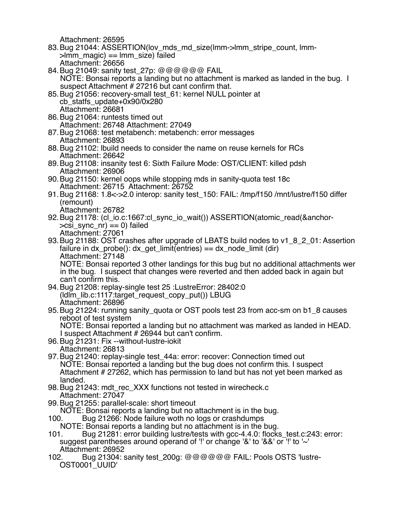Attachment: 26595

83.Bug 21044: ASSERTION(lov\_mds\_md\_size(lmm->lmm\_stripe\_count, lmm-  $>$ lmm magic) == lmm size) failed Attachment: 26656

84. Bug 21049: sanity test 27p: @@@@@@ FAIL NOTE: Bonsai reports a landing but no attachment is marked as landed in the bug. I suspect Attachment # 27216 but cant confirm that.

- 85.Bug 21056: recovery-small test\_61: kernel NULL pointer at cb\_statfs\_update+0x90/0x280 Attachment: 26681
- 86.Bug 21064: runtests timed out Attachment: 26748 Attachment: 27049
- 87.Bug 21068: test metabench: metabench: error messages Attachment: 26893
- 88.Bug 21102: lbuild needs to consider the name on reuse kernels for RCs Attachment: 26642
- 89.Bug 21108: insanity test 6: Sixth Failure Mode: OST/CLIENT: killed pdsh Attachment: 26906
- 90.Bug 21150: kernel oops while stopping mds in sanity-quota test 18c Attachment: 26715 Attachment: 26752
- 91.Bug 21168: 1.8<->2.0 interop: sanity test\_150: FAIL: /tmp/f150 /mnt/lustre/f150 differ (remount)
	- Attachment: 26782
- 92.Bug 21178: (cl\_io.c:1667:cl\_sync\_io\_wait()) ASSERTION(atomic\_read(&anchor-  $\geq$ csi sync nr) == 0) failed Attachment: 27061
- 93. Bug 21188: OST crashes after upgrade of LBATS build nodes to v1\_8\_2\_01: Assertion failure in  $dx\_probe$ ):  $dx\_get\_limit(entries) == dx\_node\_limit(dir)$  Attachment: 27148 NOTE: Bonsai reported 3 other landings for this bug but no additional attachments wer

 in the bug. I suspect that changes were reverted and then added back in again but can't confirm this.

- 94.Bug 21208: replay-single test 25 :LustreError: 28402:0 (ldlm\_lib.c:1117:target\_request\_copy\_put()) LBUG Attachment: 26896
- 95.Bug 21224: running sanity\_quota or OST pools test 23 from acc-sm on b1\_8 causes reboot of test system

 NOTE: Bonsai reported a landing but no attachment was marked as landed in HEAD. I suspect Attachment # 26944 but can't confirm.

- 96.Bug 21231: Fix --without-lustre-iokit Attachment: 26813
- 97.Bug 21240: replay-single test\_44a: error: recover: Connection timed out NOTE: Bonsai reported a landing but the bug does not confirm this. I suspect Attachment # 27262, which has permission to land but has not yet been marked as landed.
- 98. Bug 21243: mdt\_rec\_XXX functions not tested in wirecheck.c Attachment: 27047
- 99.Bug 21255: parallel-scale: short timeout

NOTE: Bonsai reports a landing but no attachment is in the bug.

- 100. Bug 21266: Node failure woth no logs or crashdumps
	- NOTE: Bonsai reports a landing but no attachment is in the bug.
- 101. Bug 21281: error building lustre/tests with gcc-4.4.0: flocks\_test.c:243: error: suggest parentheses around operand of '!' or change '&' to '&&' or '!' to '~' Attachment: 26952
- 102. Bug 21304: sanity test\_200g: @@@@@@ FAIL: Pools OSTS 'lustre-OST0001\_UUID'